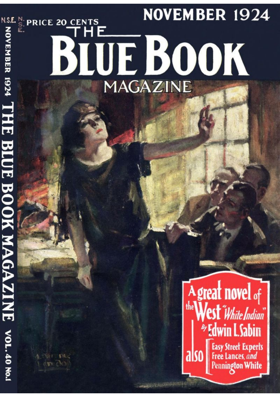# **NOVEMBER 1924** PRINTER SOOK NOOK HELD BOOK NOOK NOT BE THE BILE BOOK NOOK NOT BE THE BILE BOOK NOT BE THE BILE AND THE BILE A BLUE BOOK

## A great novel of Easy Street Experts<br>Free Lances, and<br>Pennington White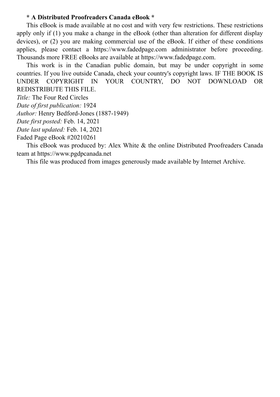#### **\* A Distributed Proofreaders Canada eBook \***

This eBook is made available at no cost and with very few restrictions. These restrictions apply only if (1) you make a change in the eBook (other than alteration for different display devices), or (2) you are making commercial use of the eBook. If either of these conditions applies, please contact a https://www.fadedpage.com administrator before proceeding. Thousands more FREE eBooks are available at https://www.fadedpage.com.

This work is in the Canadian public domain, but may be under copyright in some countries. If you live outside Canada, check your country's copyright laws. IF THE BOOK IS UNDER COPYRIGHT IN YOUR COUNTRY, DO NOT DOWNLOAD OR REDISTRIBUTE THIS FILE.

*Title:* The Four Red Circles

*Date of first publication:* 1924

*Author:* Henry Bedford-Jones (1887-1949)

*Date first posted:* Feb. 14, 2021

*Date last updated:* Feb. 14, 2021

Faded Page eBook #20210261

This eBook was produced by: Alex White & the online Distributed Proofreaders Canada team at https://www.pgdpcanada.net

This file was produced from images generously made available by Internet Archive.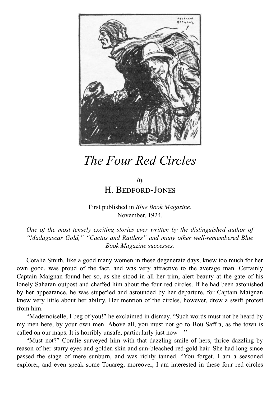

### *The Four Red Circles*

#### *By* H. BEDEORD-JONES

First published in *Blue Book Magazine*, November, 1924.

*One of the most tensely exciting stories ever written by the distinguished author of "Madagascar Gold," "Cactus and Rattlers" and many other well-remembered Blue Book Magazine successes.*

Coralie Smith, like a good many women in these degenerate days, knew too much for her own good, was proud of the fact, and was very attractive to the average man. Certainly Captain Maignan found her so, as she stood in all her trim, alert beauty at the gate of his lonely Saharan outpost and chaffed him about the four red circles. If he had been astonished by her appearance, he was stupefied and astounded by her departure, for Captain Maignan knew very little about her ability. Her mention of the circles, however, drew a swift protest from him.

"Mademoiselle, I beg of you!" he exclaimed in dismay. "Such words must not be heard by my men here, by your own men. Above all, you must not go to Bou Saffra, as the town is called on our maps. It is horribly unsafe, particularly just now—"

"Must not?" Coralie surveyed him with that dazzling smile of hers, thrice dazzling by reason of her starry eyes and golden skin and sun-bleached red-gold hair. She had long since passed the stage of mere sunburn, and was richly tanned. "You forget, I am a seasoned explorer, and even speak some Touareg; moreover, I am interested in these four red circles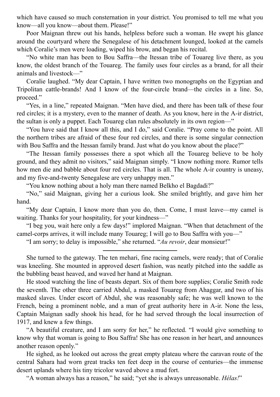which have caused so much consternation in your district. You promised to tell me what you know—all you know—about them. Please!"

Poor Maignan threw out his hands, helpless before such a woman. He swept his glance around the courtyard where the Senegalese of his detachment lounged, looked at the camels which Coralie's men were loading, wiped his brow, and began his recital.

"No white man has been to Bou Saffra—the Itessan tribe of Touareg live there, as you know, the oldest branch of the Touareg. The family uses four circles as a brand, for all their animals and livestock—"

Coralie laughed. "My dear Captain, I have written two monographs on the Egyptian and Tripolitan cattle-brands! And I know of the four-circle brand—the circles in a line. So, proceed."

"Yes, in a line," repeated Maignan. "Men have died, and there has been talk of these four red circles; it is a mystery, even to the manner of death. As you know, here in the A-ir district, the sultan is only a puppet. Each Touareg clan rules absolutely in its own region—"

"You have said that I know all this, and I do," said Coralie. "Pray come to the point. All the northern tribes are afraid of these four red circles, and there is some singular connection with Bou Saffra and the Itessan family brand. Just what do you know about the place?"

"The Itessan family possesses there a spot which all the Touareg believe to be holy ground, and they admit no visitors," said Maignan simply. "I know nothing more. Rumor tells how men die and babble about four red circles. That is all. The whole A-ir country is uneasy, and my five-and-twenty Senegalese are very unhappy men."

"You know nothing about a holy man there named Belkho el Bagdadi?"

"No," said Maignan, giving her a curious look. She smiled brightly, and gave him her hand.

"My dear Captain, I know more than you do, then. Come, I must leave—my camel is waiting. Thanks for your hospitality, for your kindness—"

"I beg you, wait here only a few days!" implored Maignan. "When that detachment of the camel-corps arrives, it will include many Touareg; I will go to Bou Saffra with you—"

"I am sorry; to delay is impossible," she returned. "*Au revoir*, dear monsieur!"

She turned to the gateway. The ten mehari, fine racing camels, were ready; that of Coralie was kneeling. She mounted in approved desert fashion, was neatly pitched into the saddle as the bubbling beast heaved, and waved her hand at Maignan.

He stood watching the line of beasts depart. Six of them bore supplies; Coralie Smith rode the seventh. The other three carried Abdul, a masked Touareg from Ahaggar, and two of his masked slaves. Under escort of Abdul, she was reasonably safe; he was well known to the French, being a prominent noble, and a man of great authority here in A-ir. None the less, Captain Maignan sadly shook his head, for he had served through the local insurrection of 1917, and knew a few things.

"A beautiful creature, and I am sorry for her," he reflected. "I would give something to know why that woman is going to Bou Saffra! She has one reason in her heart, and announces another reason openly."

He sighed, as he looked out across the great empty plateau where the caravan route of the central Sahara had worn great tracks ten feet deep in the course of centuries—the immense desert uplands where his tiny tricolor waved above a mud fort.

"A woman always has a reason," he said; "yet she is always unreasonable. *Hélas!*"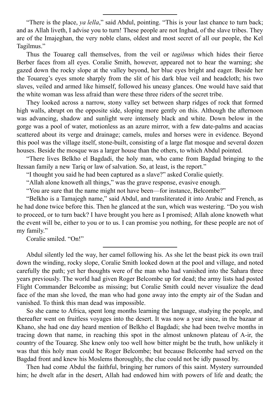"There is the place, *ya lella*," said Abdul, pointing. "This is your last chance to turn back; and as Allah liveth, I advise you to turn! These people are not Inghad, of the slave tribes. They are of the Imajeghan, the very noble clans, oldest and most secret of all our people, the Kel Tagilmus."

Thus the Touareg call themselves, from the veil or *tagilmus* which hides their fierce Berber faces from all eyes. Coralie Smith, however, appeared not to hear the warning; she gazed down the rocky slope at the valley beyond, her blue eyes bright and eager. Beside her the Touareg's eyes smote sharply from the slit of his dark blue veil and headcloth; his two slaves, veiled and armed like himself, followed his uneasy glances. One would have said that the white woman was less afraid than were these three riders of the secret tribe.

They looked across a narrow, stony valley set between sharp ridges of rock that formed high walls, abrupt on the opposite side, sloping more gently on this. Although the afternoon was advancing, shadow and sunlight were intensely black and white. Down below in the gorge was a pool of water, motionless as an azure mirror, with a few date-palms and acacias scattered about its verge and drainage; camels, mules and horses were in evidence. Beyond this pool was the village itself, stone-built, consisting of a large flat mosque and several dozen houses. Beside the mosque was a larger house than the others, to which Abdul pointed.

"There lives Belkho el Bagdadi, the holy man, who came from Bagdad bringing to the Itessan family a new Tariq or law of salvation. So, at least, is the report."

"I thought you said he had been captured as a slave?" asked Coralie quietly.

"Allah alone knoweth all things," was the grave response, evasive enough.

"You are sure that the name might not have been—for instance, Belcombe?"

"Belkho is a Tamajegh name," said Abdul, and transliterated it into Arabic and French, as he had done twice before this. Then he glanced at the sun, which was westering. "Do you wish to proceed, or to turn back? I have brought you here as I promised; Allah alone knoweth what the event will be, either to you or to us. I can promise you nothing, for these people are not of my family."

Coralie smiled. "On!"

Abdul silently led the way, her camel following his. As she let the beast pick its own trail down the winding, rocky slope, Coralie Smith looked down at the pool and village, and noted carefully the path; yet her thoughts were of the man who had vanished into the Sahara three years previously. The world had given Roger Belcombe up for dead; the army lists had posted Flight Commander Belcombe as missing; but Coralie Smith could never visualize the dead face of the man she loved, the man who had gone away into the empty air of the Sudan and vanished. To think this man dead was impossible.

So she came to Africa, spent long months learning the language, studying the people, and thereafter went on fruitless voyages into the desert. It was now a year since, in the bazaar at Khano, she had one day heard mention of Belkho el Bagdadi; she had been twelve months in tracing down that name, in reaching this spot in the almost unknown plateau of A-ir, the country of the Touareg. She knew only too well how bitter might be the truth, how unlikely it was that this holy man could be Roger Belcombe; but because Belcombe had served on the Bagdad front and knew his Moslems thoroughly, the clue could not be idly passed by.

Then had come Abdul the faithful, bringing her rumors of this saint. Mystery surrounded him; he dwelt afar in the desert, Allah had endowed him with powers of life and death; the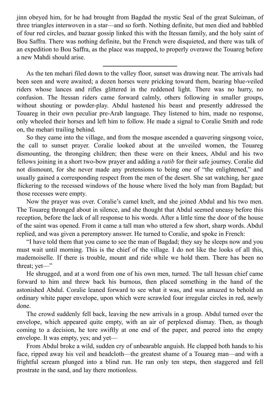jinn obeyed him, for he had brought from Bagdad the mystic Seal of the great Suleiman, of three triangles interwoven in a star—and so forth. Nothing definite, but men died and babbled of four red circles, and bazaar gossip linked this with the Itessan family, and the holy saint of Bou Saffra. There was nothing definite, but the French were disquieted, and there was talk of an expedition to Bou Saffra, as the place was mapped, to properly overawe the Touareg before a new Mahdi should arise.

As the ten mehari filed down to the valley floor, sunset was drawing near. The arrivals had been seen and were awaited; a dozen horses were pricking toward them, bearing blue-veiled riders whose lances and rifles glittered in the reddened light. There was no hurry, no confusion. The Itessan riders came forward calmly, others following in smaller groups, without shouting or powder-play. Abdul hastened his beast and presently addressed the Touareg in their own peculiar pre-Arab language. They listened to him, made no response, only wheeled their horses and left him to follow. He made a signal to Coralie Smith and rode on, the mehari trailing behind.

So they came into the village, and from the mosque ascended a quavering singsong voice, the call to sunset prayer. Coralie looked about at the unveiled women, the Touareg dismounting, the thronging children; then these were on their knees, Abdul and his two fellows joining in a short two-bow prayer and adding a *ratib* for their safe journey. Coralie did not dismount, for she never made any pretensions to being one of "the enlightened," and usually gained a corresponding respect from the men of the desert. She sat watching, her gaze flickering to the recessed windows of the house where lived the holy man from Bagdad; but those recesses were empty.

Now the prayer was over. Coralie's camel knelt, and she joined Abdul and his two men. The Touareg thronged about in silence, and she thought that Abdul seemed uneasy before this reception, before the lack of all response to his words. After a little time the door of the house of the saint was opened. From it came a tall man who uttered a few short, sharp words. Abdul replied, and was given a peremptory answer. He turned to Coralie, and spoke in French:

"I have told them that you came to see the man of Bagdad; they say he sleeps now and you must wait until morning. This is the chief of the village. I do not like the looks of all this, mademoiselle. If there is trouble, mount and ride while we hold them. There has been no threat; yet—"

He shrugged, and at a word from one of his own men, turned. The tall Itessan chief came forward to him and threw back his burnous, then placed something in the hand of the astonished Abdul. Coralie leaned forward to see what it was, and was amazed to behold an ordinary white paper envelope, upon which were scrawled four irregular circles in red, newly done.

The crowd suddenly fell back, leaving the new arrivals in a group. Abdul turned over the envelope, which appeared quite empty, with an air of perplexed dismay. Then, as though coming to a decision, he tore swiftly at one end of the paper, and peered into the empty envelope. It was empty, yes; and yet—

From Abdul broke a wild, sudden cry of unbearable anguish. He clapped both hands to his face, ripped away his veil and headcloth—the greatest shame of a Touareg man—and with a frightful scream plunged into a blind run. He ran only ten steps, then staggered and fell prostrate in the sand, and lay there motionless.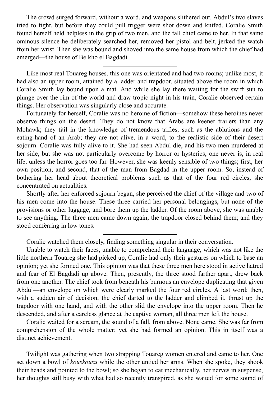The crowd surged forward, without a word, and weapons slithered out. Abdul's two slaves tried to fight, but before they could pull trigger were shot down and knifed. Coralie Smith found herself held helpless in the grip of two men, and the tall chief came to her. In that same ominous silence he deliberately searched her, removed her pistol and belt, jerked the watch from her wrist. Then she was bound and shoved into the same house from which the chief had emerged—the house of Belkho el Bagdadi.

Like most real Touareg houses, this one was orientated and had two rooms; unlike most, it had also an upper room, attained by a ladder and trapdoor, situated above the room in which Coralie Smith lay bound upon a mat. And while she lay there waiting for the swift sun to plunge over the rim of the world and draw tropic night in his train, Coralie observed certain things. Her observation was singularly close and accurate.

Fortunately for herself, Coralie was no heroine of fiction—somehow these heroines never observe things on the desert. They do not know that Arabs are keener trailers than any Mohawk; they fail in the knowledge of tremendous trifles, such as the ablutions and the eating-hand of an Arab; they are not alive, in a word, to the realistic side of their desert sojourn. Coralie was fully alive to it. She had seen Abdul die, and his two men murdered at her side, but she was not particularly overcome by horror or hysterics; one never is, in real life, unless the horror goes too far. However, she was keenly sensible of two things; first, her own position, and second, that of the man from Bagdad in the upper room. So, instead of bothering her head about theoretical problems such as that of the four red circles, she concentrated on actualities.

Shortly after her enforced sojourn began, she perceived the chief of the village and two of his men come into the house. These three carried her personal belongings, but none of the provisions or other luggage, and bore them up the ladder. Of the room above, she was unable to see anything. The three men came down again; the trapdoor closed behind them; and they stood conferring in low tones.

Coralie watched them closely, finding something singular in their conversation.

Coralie waited for a scream, the sound of a fall, from above. None came. She was far from comprehension of the whole matter; yet she had formed an opinion. This in itself was a distinct achievement.

Twilight was gathering when two strapping Touareg women entered and came to her. One set down a bowl of *kouskousu* while the other untied her arms. When she spoke, they shook their heads and pointed to the bowl; so she began to eat mechanically, her nerves in suspense, her thoughts still busy with what had so recently transpired, as she waited for some sound of

Unable to watch their faces, unable to comprehend their language, which was not like the little northern Touareg she had picked up, Coralie had only their gestures on which to base an opinion; yet she formed one. This opinion was that these three men here stood in active hatred and fear of El Bagdadi up above. Then, presently, the three stood farther apart, drew back from one another. The chief took from beneath his burnous an envelope duplicating that given Abdul—an envelope on which were clearly marked the four red circles. A last word; then, with a sudden air of decision, the chief darted to the ladder and climbed it, thrust up the trapdoor with one hand, and with the other slid the envelope into the upper room. Then he descended, and after a careless glance at the captive woman, all three men left the house.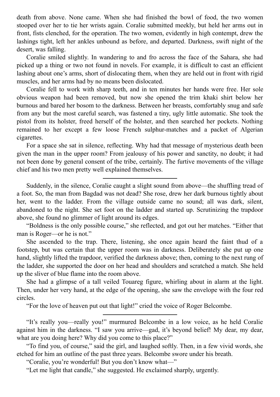death from above. None came. When she had finished the bowl of food, the two women stooped over her to tie her wrists again. Coralie submitted meekly, but held her arms out in front, fists clenched, for the operation. The two women, evidently in high contempt, drew the lashings tight, left her ankles unbound as before, and departed. Darkness, swift night of the desert, was falling.

Coralie smiled slightly. In wandering to and fro across the face of the Sahara, she had picked up a thing or two not found in novels. For example, it is difficult to cast an efficient lashing about one's arms, short of dislocating them, when they are held out in front with rigid muscles, and her arms had by no means been dislocated.

Coralie fell to work with sharp teeth, and in ten minutes her hands were free. Her sole obvious weapon had been removed, but now she opened the trim khaki shirt below her burnous and bared her bosom to the darkness. Between her breasts, comfortably snug and safe from any but the most careful search, was fastened a tiny, ugly little automatic. She took the pistol from its holster, freed herself of the holster, and then searched her pockets. Nothing remained to her except a few loose French sulphur-matches and a packet of Algerian cigarettes.

For a space she sat in silence, reflecting. Why had that message of mysterious death been given the man in the upper room? From jealousy of his power and sanctity, no doubt; it had not been done by general consent of the tribe, certainly. The furtive movements of the village chief and his two men pretty well explained themselves.

Suddenly, in the silence, Coralie caught a slight sound from above—the shuffling tread of a foot. So, the man from Bagdad was not dead? She rose, drew her dark burnous tightly about her, went to the ladder. From the village outside came no sound; all was dark, silent, abandoned to the night. She set foot on the ladder and started up. Scrutinizing the trapdoor above, she found no glimmer of light around its edges.

"Boldness is the only possible course," she reflected, and got out her matches. "Either that man is Roger—or he is not."

She ascended to the trap. There, listening, she once again heard the faint thud of a footstep, but was certain that the upper room was in darkness. Deliberately she put up one hand, slightly lifted the trapdoor, verified the darkness above; then, coming to the next rung of the ladder, she supported the door on her head and shoulders and scratched a match. She held up the sliver of blue flame into the room above.

She had a glimpse of a tall veiled Touareg figure, whirling about in alarm at the light. Then, under her very hand, at the edge of the opening, she saw the envelope with the four red circles.

"For the love of heaven put out that light!" cried the voice of Roger Belcombe.

"It's really you—really you!" murmured Belcombe in a low voice, as he held Coralie against him in the darkness. "I saw you arrive—gad, it's beyond belief! My dear, my dear, what are you doing here? Why did you come to this place?"

"To find you, of course," said the girl, and laughed softly. Then, in a few vivid words, she etched for him an outline of the past three years. Belcombe swore under his breath.

"Coralie, you're wonderful! But you don't know what—"

"Let me light that candle," she suggested. He exclaimed sharply, urgently.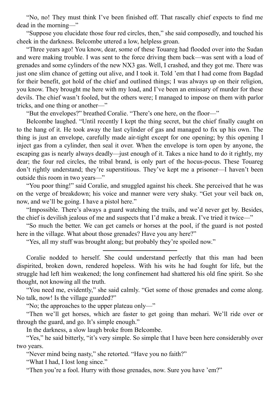"No, no! They must think I've been finished off. That rascally chief expects to find me dead in the morning—"

"Suppose you elucidate those four red circles, then," she said composedly, and touched his cheek in the darkness. Belcombe uttered a low, helpless groan.

"Three years ago! You know, dear, some of these Touareg had flooded over into the Sudan and were making trouble. I was sent to the force driving them back—was sent with a load of grenades and some cylinders of the new NX3 gas. Well, I crashed, and they got me. There was just one slim chance of getting out alive, and I took it. Told 'em that I had come from Bagdad for their benefit, got hold of the chief and outlined things; I was always up on their religion, you know. They brought me here with my load, and I've been an emissary of murder for these devils. The chief wasn't fooled, but the others were; I managed to impose on them with parlor tricks, and one thing or another—"

"But the envelopes?" breathed Coralie. "There's one here, on the floor—"

Belcombe laughed. "Until recently I kept the thing secret, but the chief finally caught on to the hang of it. He took away the last cylinder of gas and managed to fix up his own. The thing is just an envelope, carefully made air-tight except for one opening; by this opening I inject gas from a cylinder, then seal it over. When the envelope is torn open by anyone, the escaping gas is nearly always deadly—just enough of it. Takes a nice hand to do it rightly, my dear; the four red circles, the tribal brand, is only part of the hocus-pocus. These Touareg don't rightly understand; they're superstitious. They've kept me a prisoner—I haven't been outside this room in two years—"

"You poor thing!" said Coralie, and snuggled against his cheek. She perceived that he was on the verge of breakdown; his voice and manner were very shaky. "Get your veil back on, now, and we'll be going. I have a pistol here."

"Impossible. There's always a guard watching the trails, and we'd never get by. Besides, the chief is devilish jealous of me and suspects that I'd make a break. I've tried it twice—"

"So much the better. We can get camels or horses at the pool, if the guard is not posted here in the village. What about those grenades? Have you any here?"

"Yes, all my stuff was brought along; but probably they're spoiled now."

Coralie nodded to herself. She could understand perfectly that this man had been dispirited, broken down, rendered hopeless. With his wits he had fought for life, but the struggle had left him weakened; the long confinement had shattered his old fine spirit. So she thought, not knowing all the truth.

"You need me, evidently," she said calmly. "Get some of those grenades and come along. No talk, now! Is the village guarded?"

"No; the approaches to the upper plateau only—"

"Then we'll get horses, which are faster to get going than mehari. We'll ride over or through the guard, and go. It's simple enough."

In the darkness, a slow laugh broke from Belcombe.

"Yes," he said bitterly, "it's very simple. So simple that I have been here considerably over two years.

"Never mind being nasty," she retorted. "Have you no faith?"

"What I had, I lost long since."

"Then you're a fool. Hurry with those grenades, now. Sure you have 'em?"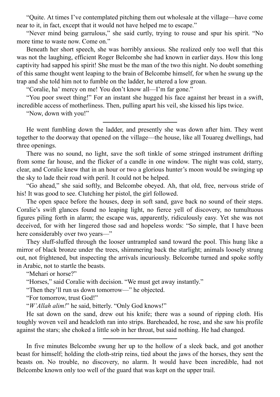"Quite. At times I've contemplated pitching them out wholesale at the village—have come near to it, in fact, except that it would not have helped me to escape."

"Never mind being garrulous," she said curtly, trying to rouse and spur his spirit. "No more time to waste now. Come on."

Beneath her short speech, she was horribly anxious. She realized only too well that this was not the laughing, efficient Roger Belcombe she had known in earlier days. How this long captivity had sapped his spirit! She must be the man of the two this night. No doubt something of this same thought went leaping to the brain of Belcombe himself, for when he swung up the trap and she told him not to fumble on the ladder, he uttered a low groan.

"Coralie, ha' mercy on me! You don't know all—I'm far gone."

"You poor sweet thing!" For an instant she hugged his face against her breast in a swift, incredible access of motherliness. Then, pulling apart his veil, she kissed his lips twice.

"Now, down with you!"

He went fumbling down the ladder, and presently she was down after him. They went together to the doorway that opened on the village—the house, like all Touareg dwellings, had three openings.

There was no sound, no light, save the soft tinkle of some stringed instrument drifting from some far house, and the flicker of a candle in one window. The night was cold, starry, clear, and Coralie knew that in an hour or two a glorious hunter's moon would be swinging up the sky to lade their road with peril. It could not be helped.

"Go ahead," she said softly, and Belcombe obeyed. Ah, that old, free, nervous stride of his! It was good to see. Clutching her pistol, the girl followed.

The open space before the houses, deep in soft sand, gave back no sound of their steps. Coralie's swift glances found no leaping light, no fierce yell of discovery, no tumultuous figures piling forth in alarm; the escape was, apparently, ridiculously easy. Yet she was not deceived, for with her lingered those sad and hopeless words: "So simple, that I have been here considerably over two years—"

They sluff-sluffed through the looser untrampled sand toward the pool. This hung like a mirror of black bronze under the trees, shimmering back the starlight; animals loosely strung out, not frightened, but inspecting the arrivals incuriously. Belcombe turned and spoke softly in Arabic, not to startle the beasts.

"Mehari or horse?"

"Horses," said Coralie with decision. "We must get away instantly."

"Then they'll run us down tomorrow—" he objected.

"For tomorrow, trust God!"

"*W'Allah alim!*" he said, bitterly. "Only God knows!"

He sat down on the sand, drew out his knife; there was a sound of ripping cloth. His toughly woven veil and headcloth ran into strips. Bareheaded, he rose, and she saw his profile against the stars; she choked a little sob in her throat, but said nothing. He had changed.

In five minutes Belcombe swung her up to the hollow of a sleek back, and got another beast for himself; holding the cloth-strip reins, tied about the jaws of the horses, they sent the beasts on. No trouble, no discovery, no alarm. It would have been incredible, had not Belcombe known only too well of the guard that was kept on the upper trail.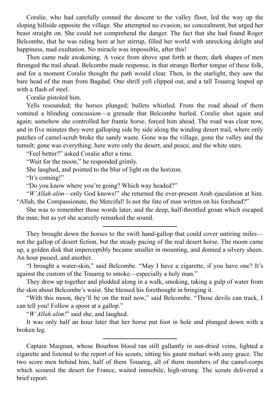Coralie, who had carefully conned the descent to the valley floor, led the way up the sloping hillside opposite the village. She attempted no evasion, no concealment, but urged her beast straight on. She could not comprehend the danger. The fact that she had found Roger Belcombe, that he was riding here at her stirrup, filled her world with unrecking delight and happiness, mad exultation. No miracle was impossible, after this!

Then came rude awakening. A voice from above spat forth at them; dark shapes of men thronged the trail ahead. Belcombe made response, in that strange Berber tongue of these folk, and for a moment Coralie thought the path would clear. Then, in the starlight, they saw the bare head of the man from Bagdad. One shrill yell clipped out, and a tall Touareg leaped up with a flash of steel.

Coralie pistoled him.

Yells resounded; the horses plunged; bullets whistled. From the road ahead of them vomited a blinding concussion—a grenade that Belcombe hurled. Coralie shot again and again; somehow she controlled her frantic horse, forced him ahead. The road was clear now, and in five minutes they were galloping side by side along the winding desert trail, where only patches of camel-scrub broke the sandy waste. Gone was the village, gone the valley and the tumult; gone was everything; here were only the desert, and peace, and the white stars.

"Feel better?" asked Coralie after a time.

"Wait for the moon," he responded grimly.

She laughed, and pointed to the blur of light on the horizon.

"It's coming!"

"Do you know where you're going? Which way headed?"

"*W'Allah alim*—only God knows!" she returned the ever-present Arab ejaculation at him. "Allah, the Compassionate, the Merciful! Is not the fate of man written on his forehead?"

She was to remember those words later, and the deep, half-throttled groan which escaped the man; but as yet she scarcely remarked the sound.

They brought down the horses to the swift hand-gallop that could cover untiring miles not the gallop of desert fiction, but the steady pacing of the real desert horse. The moon came up, a golden disk that imperceptibly became smaller in mounting, and donned a silvery sheen. An hour passed, and another.

"I brought a water-skin," said Belcombe. "May I have a cigarette, if you have one? It's against the custom of the Touareg to smoke—especially a holy man."

They drew up together and plodded along in a walk, smoking, taking a gulp of water from the skin about Belcombe's waist. She blessed his forethought in bringing it.

"With this moon, they'll be on the trail now," said Belcombe. "Those devils can track, I can tell you! Follow a spoor at a gallop."

"*W'Allah alim!*" said she, and laughed.

It was only half an hour later that her horse put foot in hole and plunged down with a broken leg.

Captain Maignan, whose Bourbon blood ran still gallantly in sun-dried veins, lighted a cigarette and listened to the report of his scouts, sitting his gaunt mehari with easy grace. The two score men behind him, half of them Touareg, all of them members of the camel-corps which scoured the desert for France, waited immobile, high-strung. The scouts delivered a brief report.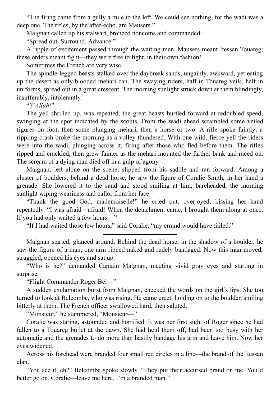"The firing came from a gully a mile to the left. We could see nothing, for the wadi was a deep one. The rifles, by the after-echo, are Mausers."

Maignan called up his stalwart, bronzed noncoms and commanded:

"Spread out. Surround. Advance."

A ripple of excitement passed through the waiting men. Mausers meant Itessan Touareg; these orders meant fight—they were free to fight, in their own fashion!

Sometimes the French are very wise.

The spindle-legged beasts stalked over the daybreak sands, ungainly, awkward, yet eating up the desert as only blooded mehari can. The swaying riders, half in Touareg veils, half in uniforms, spread out in a great crescent. The morning sunlight struck down at them blindingly, insufferably, intolerantly.

"*Y'Allah!*"

The yell shrilled up, was repeated, the great beasts hurtled forward at redoubled speed, swinging at the spot indicated by the scouts. From the wadi ahead scrambled some veiled figures on foot, then some plunging mehari, then a horse or two. A rifle spoke faintly; a rippling crash broke the morning as a volley thundered. With one wild, fierce yell the riders were into the wadi, plunging across it, firing after those who fled before them. The rifles ripped and crackled, then grew fainter as the mehari mounted the farther bank and raced on. The scream of a dying man died off in a gulp of agony.

Maignan, left alone on the scene, slipped from his saddle and ran forward. Among a cluster of boulders, behind a dead horse, he saw the figure of Coralie Smith, in her hand a grenade. She lowered it to the sand and stood smiling at him, bareheaded, the morning sunlight wiping weariness and pallor from her face.

"Thank the good God, mademoiselle!" he cried out, overjoyed, kissing her hand repeatedly. "I was afraid—afraid! When the detachment came, I brought them along at once. If you had only waited a few hours—"

"If I had waited those few hours," said Coralie, "my errand would have failed."

Maignan started, glanced around. Behind the dead horse, in the shadow of a boulder, he saw the figure of a man, one arm ripped naked and rudely bandaged. Now this man moved, struggled, opened his eyes and sat up.

"Who is he?" demanded Captain Maignan, meeting vivid gray eyes and starting in surprise.

"Flight Commander Roger Bel—"

A sudden exclamation burst from Maignan, checked the words on the girl's lips. She too turned to look at Belcombe, who was rising. He came erect, holding on to the boulder, smiling bitterly at them. The French officer swallowed hard, then saluted.

"Monsieur," he stammered, "Monsieur—"

Coralie was staring, astounded and horrified. It was her first sight of Roger since he had fallen to a Touareg bullet at the dawn. She had held them off, had been too busy with her automatic and the grenades to do more than hastily bandage his arm and leave him. Now her eyes widened.

Across his forehead were branded four small red circles in a line—the brand of the Itessan clan.

"You see it, eh?" Belcombe spoke slowly. "They put their accursed brand on me. You'd better go on, Coralie—leave me here. I'm a branded man."